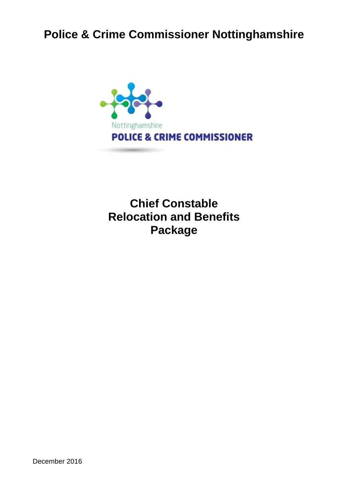# **Police & Crime Commissioner Nottinghamshire**



**Chief Constable Relocation and Benefits Package**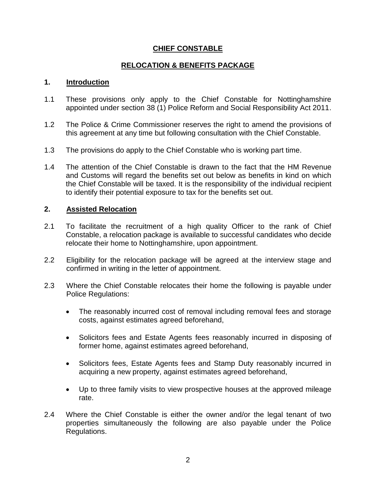## **CHIEF CONSTABLE**

## **RELOCATION & BENEFITS PACKAGE**

#### **1. Introduction**

- 1.1 These provisions only apply to the Chief Constable for Nottinghamshire appointed under section 38 (1) Police Reform and Social Responsibility Act 2011.
- 1.2 The Police & Crime Commissioner reserves the right to amend the provisions of this agreement at any time but following consultation with the Chief Constable.
- 1.3 The provisions do apply to the Chief Constable who is working part time.
- 1.4 The attention of the Chief Constable is drawn to the fact that the HM Revenue and Customs will regard the benefits set out below as benefits in kind on which the Chief Constable will be taxed. It is the responsibility of the individual recipient to identify their potential exposure to tax for the benefits set out.

## **2. Assisted Relocation**

- 2.1 To facilitate the recruitment of a high quality Officer to the rank of Chief Constable, a relocation package is available to successful candidates who decide relocate their home to Nottinghamshire, upon appointment.
- 2.2 Eligibility for the relocation package will be agreed at the interview stage and confirmed in writing in the letter of appointment.
- 2.3 Where the Chief Constable relocates their home the following is payable under Police Regulations:
	- The reasonably incurred cost of removal including removal fees and storage costs, against estimates agreed beforehand,
	- Solicitors fees and Estate Agents fees reasonably incurred in disposing of former home, against estimates agreed beforehand,
	- Solicitors fees, Estate Agents fees and Stamp Duty reasonably incurred in acquiring a new property, against estimates agreed beforehand,
	- Up to three family visits to view prospective houses at the approved mileage rate.
- 2.4 Where the Chief Constable is either the owner and/or the legal tenant of two properties simultaneously the following are also payable under the Police Regulations.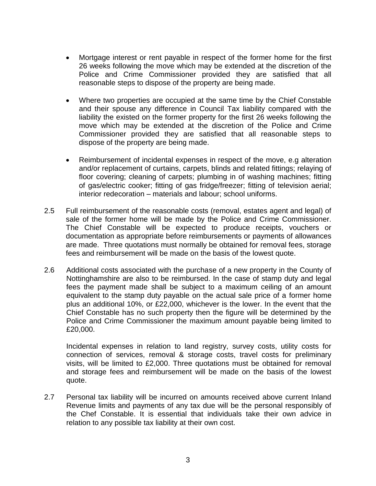- Mortgage interest or rent payable in respect of the former home for the first 26 weeks following the move which may be extended at the discretion of the Police and Crime Commissioner provided they are satisfied that all reasonable steps to dispose of the property are being made.
- Where two properties are occupied at the same time by the Chief Constable and their spouse any difference in Council Tax liability compared with the liability the existed on the former property for the first 26 weeks following the move which may be extended at the discretion of the Police and Crime Commissioner provided they are satisfied that all reasonable steps to dispose of the property are being made.
- Reimbursement of incidental expenses in respect of the move, e.g alteration and/or replacement of curtains, carpets, blinds and related fittings; relaying of floor covering; cleaning of carpets; plumbing in of washing machines; fitting of gas/electric cooker; fitting of gas fridge/freezer; fitting of television aerial; interior redecoration – materials and labour; school uniforms.
- 2.5 Full reimbursement of the reasonable costs (removal, estates agent and legal) of sale of the former home will be made by the Police and Crime Commissioner. The Chief Constable will be expected to produce receipts, vouchers or documentation as appropriate before reimbursements or payments of allowances are made. Three quotations must normally be obtained for removal fees, storage fees and reimbursement will be made on the basis of the lowest quote.
- 2.6 Additional costs associated with the purchase of a new property in the County of Nottinghamshire are also to be reimbursed. In the case of stamp duty and legal fees the payment made shall be subject to a maximum ceiling of an amount equivalent to the stamp duty payable on the actual sale price of a former home plus an additional 10%, or £22,000, whichever is the lower. In the event that the Chief Constable has no such property then the figure will be determined by the Police and Crime Commissioner the maximum amount payable being limited to £20,000.

Incidental expenses in relation to land registry, survey costs, utility costs for connection of services, removal & storage costs, travel costs for preliminary visits, will be limited to £2,000. Three quotations must be obtained for removal and storage fees and reimbursement will be made on the basis of the lowest quote.

2.7 Personal tax liability will be incurred on amounts received above current Inland Revenue limits and payments of any tax due will be the personal responsibly of the Chef Constable. It is essential that individuals take their own advice in relation to any possible tax liability at their own cost.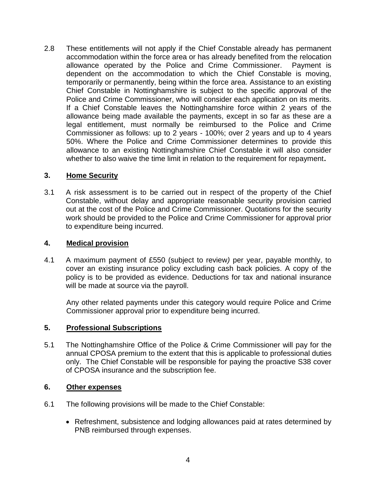2.8 These entitlements will not apply if the Chief Constable already has permanent accommodation within the force area or has already benefited from the relocation allowance operated by the Police and Crime Commissioner. Payment is dependent on the accommodation to which the Chief Constable is moving, temporarily or permanently, being within the force area. Assistance to an existing Chief Constable in Nottinghamshire is subject to the specific approval of the Police and Crime Commissioner, who will consider each application on its merits. If a Chief Constable leaves the Nottinghamshire force within 2 years of the allowance being made available the payments, except in so far as these are a legal entitlement, must normally be reimbursed to the Police and Crime Commissioner as follows: up to 2 years - 100%; over 2 years and up to 4 years 50%. Where the Police and Crime Commissioner determines to provide this allowance to an existing Nottinghamshire Chief Constable it will also consider whether to also waive the time limit in relation to the requirement for repayment**.**

## **3. Home Security**

3.1 A risk assessment is to be carried out in respect of the property of the Chief Constable, without delay and appropriate reasonable security provision carried out at the cost of the Police and Crime Commissioner. Quotations for the security work should be provided to the Police and Crime Commissioner for approval prior to expenditure being incurred.

## **4. Medical provision**

4.1 A maximum payment of £550 (subject to review*)* per year, payable monthly, to cover an existing insurance policy excluding cash back policies. A copy of the policy is to be provided as evidence. Deductions for tax and national insurance will be made at source via the payroll.

Any other related payments under this category would require Police and Crime Commissioner approval prior to expenditure being incurred.

## **5. Professional Subscriptions**

5.1 The Nottinghamshire Office of the Police & Crime Commissioner will pay for the annual CPOSA premium to the extent that this is applicable to professional duties only. The Chief Constable will be responsible for paying the proactive S38 cover of CPOSA insurance and the subscription fee.

## **6. Other expenses**

- 6.1 The following provisions will be made to the Chief Constable:
	- Refreshment, subsistence and lodging allowances paid at rates determined by PNB reimbursed through expenses.